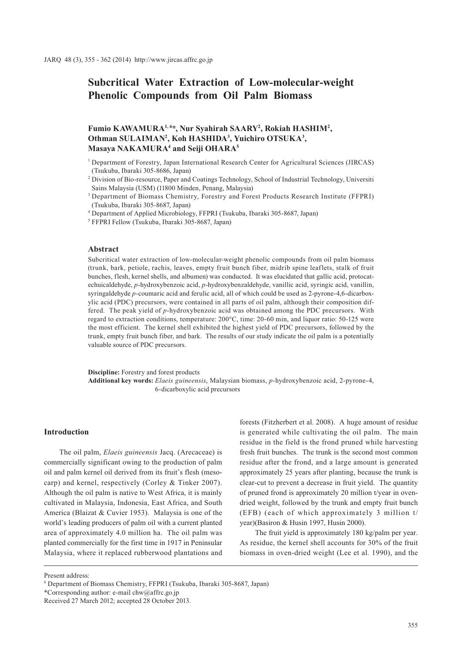# **Subcritical Water Extraction of Low-molecular-weight Phenolic Compounds from Oil Palm Biomass**

## Fumio KAWAMURA<sup>1,6</sup>\*, Nur Syahirah SAARY<sup>2</sup>, Rokiah HASHIM<sup>2</sup>, Othman SULAIMAN<sup>2</sup>, Koh HASHIDA<sup>3</sup>, Yuichiro OTSUKA<sup>3</sup>, **Masaya NAKAMURA4 and Seiji OHARA5**

- <sup>1</sup> Department of Forestry, Japan International Research Center for Agricultural Sciences (JIRCAS) (Tsukuba, Ibaraki 305-8686, Japan)
- 2 Division of Bio-resource, Paper and Coatings Technology, School of Industrial Technology, Universiti Sains Malaysia (USM) (11800 Minden, Penang, Malaysia)

3 Department of Biomass Chemistry, Forestry and Forest Products Research Institute (FFPRI) (Tsukuba, Ibaraki 305-8687, Japan)

4 Department of Applied Microbiology, FFPRI (Tsukuba, Ibaraki 305-8687, Japan)

5 FFPRI Fellow (Tsukuba, Ibaraki 305-8687, Japan)

## **Abstract**

Subcritical water extraction of low-molecular-weight phenolic compounds from oil palm biomass (trunk, bark, petiole, rachis, leaves, empty fruit bunch fiber, midrib spine leaflets, stalk of fruit bunches, flesh, kernel shells, and albumen) was conducted. It was elucidated that gallic acid, protocatechuicaldehyde, *p*-hydroxybenzoic acid, *p*-hydroxybenzaldehyde, vanillic acid, syringic acid, vanillin, syringaldehyde *p*-coumaric acid and ferulic acid, all of which could be used as 2-pyrone-4,6-dicarboxylic acid (PDC) precursors, were contained in all parts of oil palm, although their composition differed. The peak yield of *p*-hydroxybenzoic acid was obtained among the PDC precursors. With regard to extraction conditions, temperature: 200°C, time: 20-60 min, and liquor ratio: 50-125 were the most efficient. The kernel shell exhibited the highest yield of PDC precursors, followed by the trunk, empty fruit bunch fiber, and bark. The results of our study indicate the oil palm is a potentially valuable source of PDC precursors.

**Discipline:** Forestry and forest products **Additional key words:** *Elaeis guineensis*, Malaysian biomass, *p*-hydroxybenzoic acid, 2-pyrone-4, 6-dicarboxylic acid precursors

## **Introduction**

The oil palm, *Elaeis guineensis* Jacq. (Arecaceae) is commercially significant owing to the production of palm oil and palm kernel oil derived from its fruit's flesh (mesocarp) and kernel, respectively (Corley & Tinker 2007). Although the oil palm is native to West Africa, it is mainly cultivated in Malaysia, Indonesia, East Africa, and South America (Blaizat & Cuvier 1953). Malaysia is one of the world's leading producers of palm oil with a current planted area of approximately 4.0 million ha. The oil palm was planted commercially for the first time in 1917 in Peninsular Malaysia, where it replaced rubberwood plantations and

forests (Fitzherbert et al. 2008). A huge amount of residue is generated while cultivating the oil palm. The main residue in the field is the frond pruned while harvesting fresh fruit bunches. The trunk is the second most common residue after the frond, and a large amount is generated approximately 25 years after planting, because the trunk is clear-cut to prevent a decrease in fruit yield. The quantity of pruned frond is approximately 20 million t/year in ovendried weight, followed by the trunk and empty fruit bunch (EFB) (each of which approximately 3 million t/ year)(Basiron & Husin 1997, Husin 2000).

The fruit yield is approximately 180 kg/palm per year. As residue, the kernel shell accounts for 30% of the fruit biomass in oven-dried weight (Lee et al. 1990), and the

Present address:

<sup>6</sup> Department of Biomass Chemistry, FFPRI (Tsukuba, Ibaraki 305-8687, Japan)

<sup>\*</sup>Corresponding author: e-mail chw@affrc.go.jp

Received 27 March 2012; accepted 28 October 2013.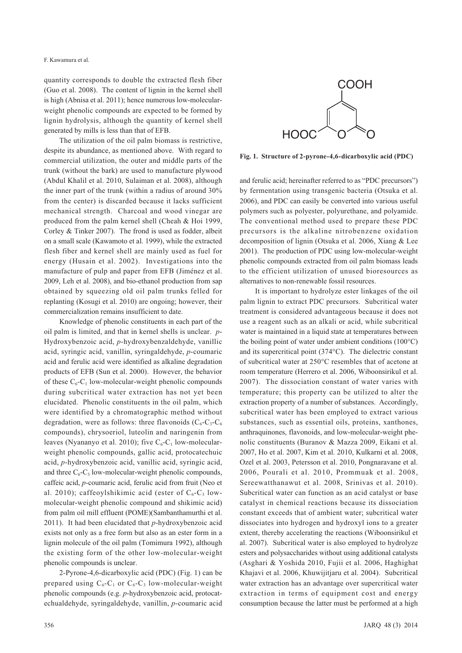quantity corresponds to double the extracted flesh fiber (Guo et al. 2008). The content of lignin in the kernel shell is high (Abnisa et al. 2011); hence numerous low-molecularweight phenolic compounds are expected to be formed by lignin hydrolysis, although the quantity of kernel shell generated by mills is less than that of EFB.

The utilization of the oil palm biomass is restrictive, despite its abundance, as mentioned above. With regard to commercial utilization, the outer and middle parts of the trunk (without the bark) are used to manufacture plywood (Abdul Khalil et al. 2010, Sulaiman et al. 2008), although the inner part of the trunk (within a radius of around 30% from the center) is discarded because it lacks sufficient mechanical strength. Charcoal and wood vinegar are produced from the palm kernel shell (Cheah & Hoi 1999, Corley & Tinker 2007). The frond is used as fodder, albeit on a small scale (Kawamoto et al. 1999), while the extracted flesh fiber and kernel shell are mainly used as fuel for energy (Husain et al. 2002). Investigations into the manufacture of pulp and paper from EFB (Jiménez et al. 2009, Leh et al. 2008), and bio-ethanol production from sap obtained by squeezing old oil palm trunks felled for replanting (Kosugi et al. 2010) are ongoing; however, their commercialization remains insufficient to date.

Knowledge of phenolic constituents in each part of the oil palm is limited, and that in kernel shells is unclear. *p*-Hydroxybenzoic acid, *p*-hydroxybenzaldehyde, vanillic acid, syringic acid, vanillin, syringaldehyde, *p*-coumaric acid and ferulic acid were identified as alkaline degradation products of EFB (Sun et al. 2000). However, the behavior of these  $C_6$ -C<sub>1</sub> low-molecular-weight phenolic compounds during subcritical water extraction has not yet been elucidated. Phenolic constituents in the oil palm, which were identified by a chromatographic method without degradation, were as follows: three flavonoids  $(C_6-C_3-C_6)$ compounds), chrysoeriol, luteolin and naringenin from leaves (Nyananyo et al. 2010); five  $C_6$ - $C_1$  low-molecularweight phenolic compounds, gallic acid, protocatechuic acid, *p*-hydroxybenzoic acid, vanillic acid, syringic acid, and three  $C_6$ - $C_3$  low-molecular-weight phenolic compounds, caffeic acid, *p*-coumaric acid, ferulic acid from fruit (Neo et al. 2010); caffeoylshikimic acid (ester of  $C_6$ -C<sub>3</sub> lowmolecular-weight phenolic compound and shikimic acid) from palm oil mill effluent (POME)(Sambanthamurthi et al. 2011). It had been elucidated that *p*-hydroxybenzoic acid exists not only as a free form but also as an ester form in a lignin molecule of the oil palm (Tomimura 1992), although the existing form of the other low-molecular-weight phenolic compounds is unclear.

2-Pyrone-4,6-dicarboxylic acid (PDC) (Fig. 1) can be prepared using  $C_6$ - $C_1$  or  $C_6$ - $C_3$  low-molecular-weight phenolic compounds (e.g. *p*-hydroxybenzoic acid, protocatechualdehyde, syringaldehyde, vanillin, *p*-coumaric acid



**Fig. 1. Structure of 2-pyrone-4,6-dicarboxylic acid (PDC)**

and ferulic acid; hereinafter referred to as "PDC precursors") by fermentation using transgenic bacteria (Otsuka et al. 2006), and PDC can easily be converted into various useful polymers such as polyester, polyurethane, and polyamide. The conventional method used to prepare these PDC precursors is the alkaline nitrobenzene oxidation decomposition of lignin (Otsuka et al. 2006, Xiang & Lee 2001). The production of PDC using low-molecular-weight phenolic compounds extracted from oil palm biomass leads to the efficient utilization of unused bioresources as alternatives to non-renewable fossil resources.

It is important to hydrolyze ester linkages of the oil palm lignin to extract PDC precursors. Subcritical water treatment is considered advantageous because it does not use a reagent such as an alkali or acid, while subcritical water is maintained in a liquid state at temperatures between the boiling point of water under ambient conditions (100°C) and its supercritical point (374°C). The dielectric constant of subcritical water at 250°C resembles that of acetone at room temperature (Herrero et al. 2006, Wiboonsirikul et al. 2007). The dissociation constant of water varies with temperature; this property can be utilized to alter the extraction property of a number of substances. Accordingly, subcritical water has been employed to extract various substances, such as essential oils, proteins, xanthones, anthraquinones, flavonoids, and low-molecular-weight phenolic constituents (Buranov & Mazza 2009, Eikani et al. 2007, Ho et al. 2007, Kim et al. 2010, Kulkarni et al. 2008, Ozel et al. 2003, Petersson et al. 2010, Pongnaravane et al. 2006, Pourali et al. 2010, Prommuak et al. 2008, Sereewatthanawut et al. 2008, Srinivas et al. 2010). Subcritical water can function as an acid catalyst or base catalyst in chemical reactions because its dissociation constant exceeds that of ambient water; subcritical water dissociates into hydrogen and hydroxyl ions to a greater extent, thereby accelerating the reactions (Wiboonsirikul et al. 2007). Subcritical water is also employed to hydrolyze esters and polysaccharides without using additional catalysts (Asghari & Yoshida 2010, Fujii et al. 2006, Haghighat Khajavi et al. 2006, Khuwijitjaru et al. 2004). Subcritical water extraction has an advantage over supercritical water extraction in terms of equipment cost and energy consumption because the latter must be performed at a high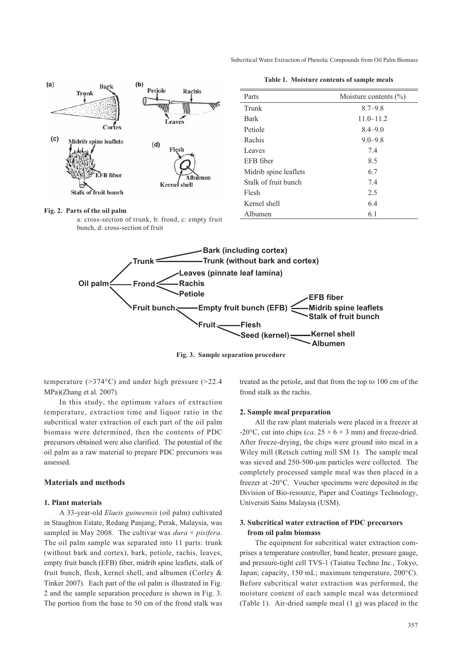Subcritical Water Extraction of Phenolic Compounds from Oil Palm Biomass



**Table 1. Moisture contents of sample meals**

| Parts                 | Moisture contents $(\% )$ |
|-----------------------|---------------------------|
| Trunk                 | $8.7 - 9.8$               |
| <b>Bark</b>           | $11.0 - 11.2$             |
| Petiole               | $8.4 - 9.0$               |
| Rachis                | $9.0 - 9.8$               |
| Leaves                | 7.4                       |
| EFB fiber             | 8.5                       |
| Midrib spine leaflets | 6.7                       |
| Stalk of fruit bunch  | 7.4                       |
| Flesh                 | 2.5                       |
| Kernel shell          | 6.4                       |
| Albumen               | 6.1                       |

#### **Fig. 2. Parts of the oil palm**

a: cross-section of trunk, b: frond, c: empty fruit bunch, d: cross-section of fruit



**Fig. 3. Sample separation procedure**

temperature  $(>374^{\circ}C)$  and under high pressure  $(>22.4)$ MPa)(Zhang et al. 2007).

In this study, the optimum values of extraction temperature, extraction time and liquor ratio in the subcritical water extraction of each part of the oil palm biomass were determined, then the contents of PDC precursors obtained were also clarified. The potential of the oil palm as a raw material to prepare PDC precursors was assessed.

## **Materials and methods**

#### **1. Plant materials**

A 33-year-old *Elaeis guineensis* (oil palm) cultivated in Staughton Estate, Redang Panjang, Perak, Malaysia, was sampled in May 2008. The cultivar was *dura* × *pisifera*. The oil palm sample was separated into 11 parts: trunk (without bark and cortex), bark, petiole, rachis, leaves, empty fruit bunch (EFB) fiber, midrib spine leaflets, stalk of fruit bunch, flesh, kernel shell, and albumen (Corley & Tinker 2007). Each part of the oil palm is illustrated in Fig. 2 and the sample separation procedure is shown in Fig. 3. The portion from the base to 50 cm of the frond stalk was

treated as the petiole, and that from the top to 100 cm of the frond stalk as the rachis.

## **2. Sample meal preparation**

All the raw plant materials were placed in a freezer at -20 $^{\circ}$ C, cut into chips (*ca*. 25  $\times$  6  $\times$  3 mm) and freeze-dried. After freeze-drying, the chips were ground into meal in a Wiley mill (Retsch cutting mill SM 1). The sample meal was sieved and 250-500-μm particles were collected. The completely processed sample meal was then placed in a freezer at -20°C. Voucher specimens were deposited in the Division of Bio-resource, Paper and Coatings Technology, Universiti Sains Malaysia (USM).

## **3. Subcritical water extraction of PDC precursors from oil palm biomass**

The equipment for subcritical water extraction comprises a temperature controller, band heater, pressure gauge, and pressure-tight cell TVS-1 (Taiatsu Techno Inc., Tokyo, Japan; capacity, 150 mL; maximum temperature, 200°C). Before subcritical water extraction was performed, the moisture content of each sample meal was determined (Table 1). Air-dried sample meal (1 g) was placed in the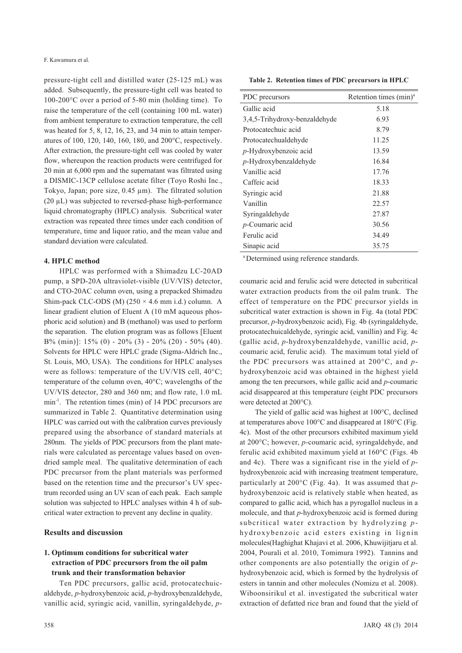pressure-tight cell and distilled water (25-125 mL) was added. Subsequently, the pressure-tight cell was heated to 100-200°C over a period of 5-80 min (holding time). To raise the temperature of the cell (containing 100 mL water) from ambient temperature to extraction temperature, the cell was heated for 5, 8, 12, 16, 23, and 34 min to attain temperatures of 100, 120, 140, 160, 180, and 200°C, respectively. After extraction, the pressure-tight cell was cooled by water flow, whereupon the reaction products were centrifuged for 20 min at 6,000 rpm and the supernatant was filtrated using a DISMIC-13CP cellulose acetate filter (Toyo Roshi Inc., Tokyo, Japan; pore size, 0.45 μm). The filtrated solution (20 μL) was subjected to reversed-phase high-performance liquid chromatography (HPLC) analysis. Subcritical water extraction was repeated three times under each condition of temperature, time and liquor ratio, and the mean value and standard deviation were calculated.

### **4. HPLC method**

HPLC was performed with a Shimadzu LC-20AD pump, a SPD-20A ultraviolet-visible (UV/VIS) detector, and CTO-20AC column oven, using a prepacked Shimadzu Shim-pack CLC-ODS (M)  $(250 \times 4.6 \text{ mm i.d.})$  column. A linear gradient elution of Eluent A (10 mM aqueous phosphoric acid solution) and B (methanol) was used to perform the separation. The elution program was as follows [Eluent B% (min)]:  $15\%$  (0) -  $20\%$  (3) -  $20\%$  (20) -  $50\%$  (40). Solvents for HPLC were HPLC grade (Sigma-Aldrich Inc., St. Louis, MO, USA). The conditions for HPLC analyses were as follows: temperature of the UV/VIS cell, 40°C; temperature of the column oven, 40°C; wavelengths of the UV/VIS detector, 280 and 360 nm; and flow rate, 1.0 mL min<sup>-1</sup>. The retention times (min) of 14 PDC precursors are summarized in Table 2. Quantitative determination using HPLC was carried out with the calibration curves previously prepared using the absorbance of standard materials at 280nm. The yields of PDC precursors from the plant materials were calculated as percentage values based on ovendried sample meal. The qualitative determination of each PDC precursor from the plant materials was performed based on the retention time and the precursor's UV spectrum recorded using an UV scan of each peak. Each sample solution was subjected to HPLC analyses within 4 h of subcritical water extraction to prevent any decline in quality.

#### **Results and discussion**

## **1. Optimum conditions for subcritical water extraction of PDC precursors from the oil palm trunk and their transformation behavior**

Ten PDC precursors, gallic acid, protocatechuicaldehyde, *p*-hydroxybenzoic acid, *p*-hydroxybenzaldehyde, vanillic acid, syringic acid, vanillin, syringaldehyde, *p*-

**Table 2. Retention times of PDC precursors in HPLC** 

| PDC precursors                | Retention times (min) <sup>a</sup> |
|-------------------------------|------------------------------------|
| Gallic acid                   | 5.18                               |
| 3,4,5-Trihydroxy-benzaldehyde | 6.93                               |
| Protocatechuic acid           | 8.79                               |
| Protocatechualdehyde          | 11.25                              |
| $p$ -Hydroxybenzoic acid      | 13.59                              |
| $p$ -Hydroxybenzaldehyde      | 16.84                              |
| Vanillic acid                 | 17.76                              |
| Caffeic acid                  | 18.33                              |
| Syringic acid                 | 21.88                              |
| Vanillin                      | 22.57                              |
| Syringaldehyde                | 27.87                              |
| $p$ -Coumaric acid            | 30.56                              |
| Ferulic acid                  | 34.49                              |
| Sinapic acid                  | 35.75                              |
|                               |                                    |

a Determined using reference standards.

coumaric acid and ferulic acid were detected in subcritical water extraction products from the oil palm trunk. The effect of temperature on the PDC precursor yields in subcritical water extraction is shown in Fig. 4a (total PDC precursor, *p*-hydroxybenzoic acid), Fig. 4b (syringaldehyde, protocatechuicaldehyde, syringic acid, vanillin) and Fig. 4c (gallic acid, *p*-hydroxybenzaldehyde, vanillic acid, *p*coumaric acid, ferulic acid). The maximum total yield of the PDC precursors was attained at 200°C, and *p*hydroxybenzoic acid was obtained in the highest yield among the ten precursors, while gallic acid and *p*-coumaric acid disappeared at this temperature (eight PDC precursors were detected at 200°C).

The yield of gallic acid was highest at 100°C, declined at temperatures above 100°C and disappeared at 180°C (Fig. 4c). Most of the other precursors exhibited maximum yield at 200°C; however, *p*-coumaric acid, syringaldehyde, and ferulic acid exhibited maximum yield at 160°C (Figs. 4b and 4c). There was a significant rise in the yield of *p*hydroxybenzoic acid with increasing treatment temperature, particularly at 200°C (Fig. 4a). It was assumed that *p*hydroxybenzoic acid is relatively stable when heated, as compared to gallic acid, which has a pyrogallol nucleus in a molecule, and that *p*-hydroxybenzoic acid is formed during subcritical water extraction by hydrolyzing *p*hydroxybenzoic acid esters existing in lignin molecules(Haghighat Khajavi et al. 2006, Khuwijitjaru et al. 2004, Pourali et al. 2010, Tomimura 1992). Tannins and other components are also potentially the origin of *p*hydroxybenzoic acid, which is formed by the hydrolysis of esters in tannin and other molecules (Nomizu et al. 2008). Wiboonsirikul et al. investigated the subcritical water extraction of defatted rice bran and found that the yield of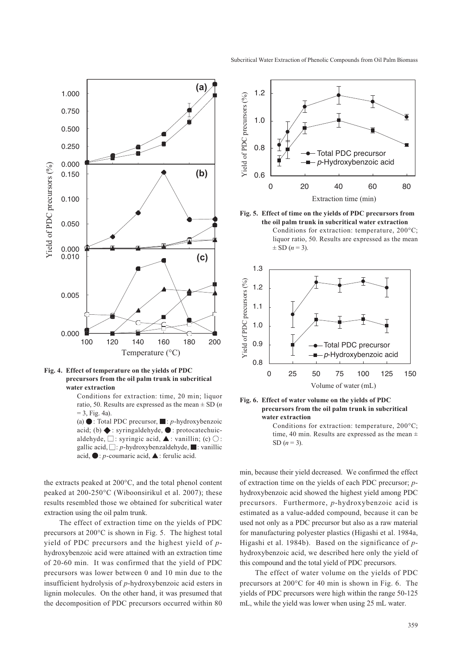



**Fig. 4. Effect of temperature on the yields of PDC precursors from the oil palm trunk in subcritical water extraction**

Conditions for extraction: time, 20 min; liquor ratio, 50. Results are expressed as the mean ± SD (*n*   $= 3$ , Fig. 4a).

(a)  $\bullet$ : Total PDC precursor,  $\blacksquare$ : *p*-hydroxybenzoic acid; (b)  $\blacklozenge$ : syringaldehyde,  $\blacklozenge$ : protocatechuicaldehyde,  $\Box$ : syringic acid,  $\blacktriangle$ : vanillin; (c)  $\bigcirc$ : gallic acid,  $\Box$ : *p*-hydroxybenzaldehyde,  $\Box$ : vanillic acid,  $\bullet: p$ -coumaric acid,  $\blacktriangle$ : ferulic acid.

the extracts peaked at 200°C, and the total phenol content peaked at 200-250°C (Wiboonsirikul et al. 2007); these results resembled those we obtained for subcritical water extraction using the oil palm trunk.

The effect of extraction time on the yields of PDC precursors at 200°C is shown in Fig. 5. The highest total yield of PDC precursors and the highest yield of *p*hydroxybenzoic acid were attained with an extraction time of 20 -60 min. It was confirmed that the yield of PDC precursors was lower between 0 and 10 min due to the insufficient hydrolysis of *p*-hydroxybenzoic acid esters in lignin molecules. On the other hand, it was presumed that the decomposition of PDC precursors occurred within 80



**Fig. 5. Effect of time on the yields of PDC precursors from the oil palm trunk in subcritical water extraction** Conditions for extraction: temperature, 200°C; liquor ratio, 50. Results are expressed as the mean  $\pm$  SD (*n* = 3).



#### **Fig. 6. Effect of water volume on the yields of PDC precursors from the oil palm trunk in subcritical water extraction**

Conditions for extraction: temperature, 200°C; time, 40 min. Results are expressed as the mean  $\pm$ SD  $(n = 3)$ .

min, because their yield decreased. We confirmed the effect of extraction time on the yields of each PDC precursor; *p*hydroxybenzoic acid showed the highest yield among PDC precursors. Furthermore, *p*-hydroxybenzoic acid is estimated as a value-added compound, because it can be used not only as a PDC precursor but also as a raw material for manufacturing polyester plastics (Higashi et al. 1984a, Higashi et al. 1984b). Based on the significance of *p*hydroxybenzoic acid, we described here only the yield of this compound and the total yield of PDC precursors.

The effect of water volume on the yields of PDC precursors at 200°C for 40 min is shown in Fig. 6. The yields of PDC precursors were high within the range 50-125 mL, while the yield was lower when using 25 mL water.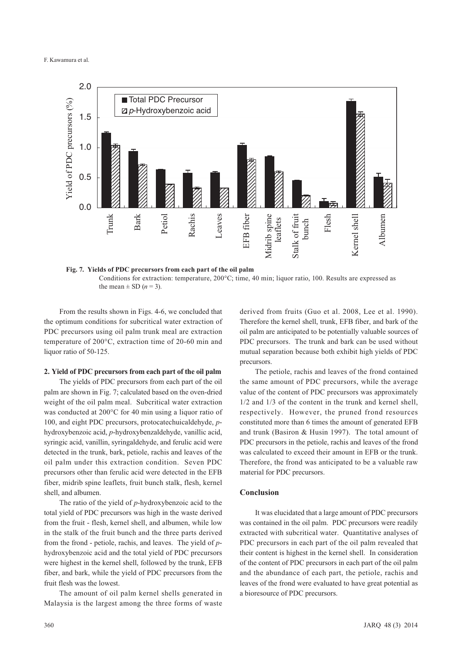#### F. Kawamura et al.



**Fig. 7. Yields of PDC precursors from each part of the oil palm** Conditions for extraction: temperature, 200°C; time, 40 min; liquor ratio, 100. Results are expressed as the mean  $\pm$  SD ( $n = 3$ ).

From the results shown in Figs. 4-6, we concluded that the optimum conditions for subcritical water extraction of PDC precursors using oil palm trunk meal are extraction temperature of 200°C, extraction time of 20-60 min and liquor ratio of 50-125.

#### **2. Yield of PDC precursors from each part of the oil palm**

The yields of PDC precursors from each part of the oil palm are shown in Fig. 7; calculated based on the oven-dried weight of the oil palm meal. Subcritical water extraction was conducted at 200°C for 40 min using a liquor ratio of 100, and eight PDC precursors, protocatechuicaldehyde, *p*hydroxybenzoic acid, *p*-hydroxybenzaldehyde, vanillic acid, syringic acid, vanillin, syringaldehyde, and ferulic acid were detected in the trunk, bark, petiole, rachis and leaves of the oil palm under this extraction condition. Seven PDC precursors other than ferulic acid were detected in the EFB fiber, midrib spine leaflets, fruit bunch stalk, flesh, kernel shell, and albumen.

The ratio of the yield of *p*-hydroxybenzoic acid to the total yield of PDC precursors was high in the waste derived from the fruit - flesh, kernel shell, and albumen, while low in the stalk of the fruit bunch and the three parts derived from the frond - petiole, rachis, and leaves. The yield of *p*hydroxybenzoic acid and the total yield of PDC precursors were highest in the kernel shell, followed by the trunk, EFB fiber, and bark, while the yield of PDC precursors from the fruit flesh was the lowest.

The amount of oil palm kernel shells generated in Malaysia is the largest among the three forms of waste

derived from fruits (Guo et al. 2008, Lee et al. 1990). Therefore the kernel shell, trunk, EFB fiber, and bark of the oil palm are anticipated to be potentially valuable sources of PDC precursors. The trunk and bark can be used without mutual separation because both exhibit high yields of PDC precursors.

The petiole, rachis and leaves of the frond contained the same amount of PDC precursors, while the average value of the content of PDC precursors was approximately 1/2 and 1/3 of the content in the trunk and kernel shell, respectively. However, the pruned frond resources constituted more than 6 times the amount of generated EFB and trunk (Basiron & Husin 1997). The total amount of PDC precursors in the petiole, rachis and leaves of the frond was calculated to exceed their amount in EFB or the trunk. Therefore, the frond was anticipated to be a valuable raw material for PDC precursors.

## **Conclusion**

It was elucidated that a large amount of PDC precursors was contained in the oil palm. PDC precursors were readily extracted with subcritical water. Quantitative analyses of PDC precursors in each part of the oil palm revealed that their content is highest in the kernel shell. In consideration of the content of PDC precursors in each part of the oil palm and the abundance of each part, the petiole, rachis and leaves of the frond were evaluated to have great potential as a bioresource of PDC precursors.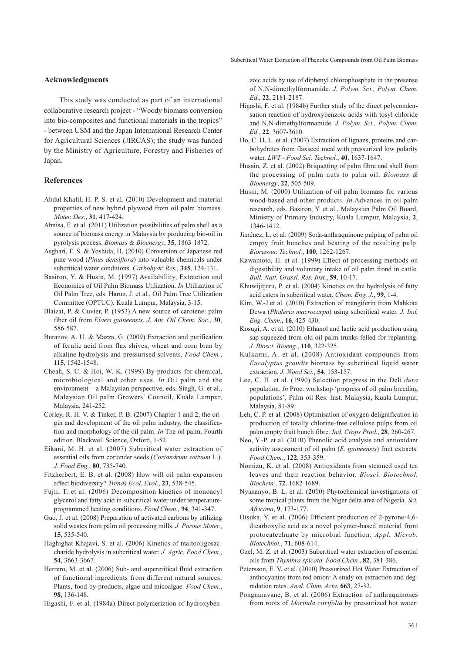### **Acknowledgments**

This study was conducted as part of an international collaborative research project - "Woody biomass conversion into bio-composites and functional materials in the tropics" - between USM and the Japan International Research Center for Agricultural Sciences (JIRCAS); the study was funded by the Ministry of Agriculture, Forestry and Fisheries of Japan.

#### **References**

- Abdul Khalil, H. P. S. et al. (2010) Development and material properties of new hybrid plywood from oil palm biomass. *Mater. Des.*, **31**, 417-424.
- Abnisa, F. et al. (2011) Utilization possibilities of palm shell as a source of biomass energy in Malaysia by producing bio-oil in pyrolysis process. *Biomass & Bioenergy*, **35**, 1863-1872.
- Asghari, F. S. & Yoshida, H. (2010) Conversion of Japanese red pine wood (*Pinus densiflora*) into valuable chemicals under subcritical water conditions. *Carbohydr. Res.*, **345**, 124-131.
- Basiron, Y. & Husin, M. (1997) Availabillity, Extraction and Economics of Oil Palm Biomass Utilization. *In* Utilization of Oil Palm Tree, eds. Harun, J. et al., Oil Palm Tree Utilization Committee (OPTUC), Kuala Lumpur, Malaysia, 3-15.
- Blaizat, P. & Cuvier, P. (1953) A new source of carotene: palm fiber oil from *Elaeis guineensis*. *J. Am. Oil Chem. Soc.*, **30**, 586-587.
- Buranov, A. U. & Mazza, G. (2009) Extraction and purification of ferulic acid from flax shives, wheat and corn bran by alkaline hydrolysis and pressurised solvents. *Food Chem.*, **115**, 1542-1548.
- Cheah, S. C. & Hoi, W. K. (1999) By-products for chemical, microbiological and other uses. *In* Oil palm and the environment – a Malaysian perspective, eds. Singh, G. et al., Malaysian Oil palm Growers' Council, Kuala Lumpur, Malaysia, 241-252.
- Corley, R. H. V. & Tinker, P. B. (2007) Chapter 1 and 2, the origin and development of the oil palm industry, the classification and morphology of the oil palm. *In* The oil palm, Fourth edition. Blackwell Science, Oxford, 1-52.
- Eikani, M. H. et al. (2007) Subcritical water extraction of essential oils from coriander seeds (*Coriandrum sativum* L.). *J. Food Eng.*, **80**, 735-740.
- Fitzherbert, E. B. et al. (2008) How will oil palm expansion affect biodiversity? *Trends Ecol. Evol.*, **23**, 538-545.
- Fujii, T. et al. (2006) Decomposition kinetics of monoacyl glycerol and fatty acid in subcritical water under temperatureprogrammed heating conditions. *Food Chem.*, **94**, 341-347.
- Guo, J. et al. (2008) Preparation of activated carbons by utilizing solid wastes from palm oil processing mills. *J. Porous Mater.*, **15**, 535-540.
- Haghighat Khajavi, S. et al. (2006) Kinetics of maltooligosaccharide hydrolysis in subcritical water. *J. Agric. Food Chem.*, **54**, 3663-3667.
- Herrero, M. et al. (2006) Sub- and supercritical fluid extraction of functional ingredients from different natural sources: Plants, food-by-products, algae and micoalgae. *Food Chem.*, **98**, 136-148.

Higashi, F. et al. (1984a) Direct polymeriztion of hydroxyben-

zoic acids by use of diphenyl chlorophosphate in the presense of N,N-dimethylformamide. *J. Polym. Sci., Polym. Chem. Ed*., **22**, 2181-2187.

- Higashi, F. et al. (1984b) Further study of the direct polycondensation reaction of hydroxybenzoic acids with tosyl chloride and N,N-dimethylformamide. *J. Polym. Sci., Polym. Chem. Ed*., **22**, 3607-3610.
- Ho, C. H. L. et al. (2007) Extraction of lignans, proteins and carbohydrates from flaxseed meal with pressurized low polarity water. *LWT - Food Sci. Technol.*, **40**, 1637-1647.
- Husain, Z. et al. (2002) Briquetting of palm fibre and shell from the processing of palm nuts to palm oil. *Biomass & Bioenergy*, **22**, 505-509.
- Husin, M. (2000) Utilization of oil palm biomass for various wood-based and other products. *In* Advances in oil palm research, eds. Basiron, Y. et al., Malaysian Palm Oil Board, Ministry of Primary Industry, Kuala Lumpur, Malaysia, **2**, 1346-1412.
- Jiménez, L. et al. (2009) Soda-anthraquinone pulping of palm oil empty fruit bunches and beating of the resulting pulp. *Bioresour. Technol.*, **100**, 1262-1267.
- Kawamoto, H. et al. (1999) Effect of processing methods on digestibility and voluntary intake of oil palm frond in cattle. *Bull. Natl. Grassl. Res. Inst.*, **59**, 10-17.
- Khuwijitjaru, P. et al. (2004) Kinetics on the hydrolysis of fatty acid esters in subcritical water. *Chem. Eng. J.*, **99**, 1-4.
- Kim, W.-J.et al. (2010) Extraction of mangiferin from Mahkota Dewa (*Phaleria macrocarpa*) using subcritical water. *J. Ind. Eng. Chem.*, **16**, 425-430.
- Kosugi, A. et al. (2010) Ethanol and lactic acid production using sap squeezed from old oil palm trunks felled for replanting. *J. Biosci. Bioeng.*, **110**, 322-325.
- Kulkarni, A. et al. (2008) Antioxidant compounds from *Eucalyptus grandis* biomass by subcritical liquid water extraction. *J. Wood Sci.*, **54**, 153-157.
- Lee, C. H. et al. (1990) Selection progress in the Deli *dura* population. *In* Proc. workshop 'progress of oil palm breeding populations', Palm oil Res. Inst. Malaysia, Kuala Lumpur, Malaysia, 81-89.
- Leh, C. P. et al. (2008) Optimisation of oxygen delignification in production of totally chlorine-free cellulose pulps from oil palm empty fruit bunch fibre. *Ind. Crops Prod.*, **28**, 260-267.
- Neo, Y.-P. et al. (2010) Phenolic acid analysis and antioxidant activity assessment of oil palm (*E. guineensis*) fruit extracts. *Food Chem.*, **122**, 353-359.
- Nomizu, K. et al. (2008) Antioxidants from steamed used tea leaves and their reaction behavior. *Biosci. Biotechnol. Biochem.*, **72**, 1682-1689.
- Nyananyo, B. L. et al. (2010) Phytochemical investigations of some tropical plants from the Niger delta area of Nigeria. *Sci. Africana*, **9**, 173-177.
- Otsuka, Y. et al. (2006) Efficient production of 2-pyrone-4,6 dicarboxylic acid as a novel polymer-based material from protocatechuate by microbial function. *Appl. Microb. Biotechnol.*, **71**, 608-614.
- Ozel, M. Z. et al. (2003) Subcritical water extraction of essential oils from *Thymbra spicata*. *Food Chem.*, **82**, 381-386.
- Petersson, E. V. et al. (2010) Pressurized Hot Water Extraction of anthocyanins from red onion: A study on extraction and degradation rates. *Anal. Chim. Acta*, **663**, 27-32.
- Pongnaravane, B. et al. (2006) Extraction of anthraquinones from roots of *Morinda citrifolia* by pressurized hot water: